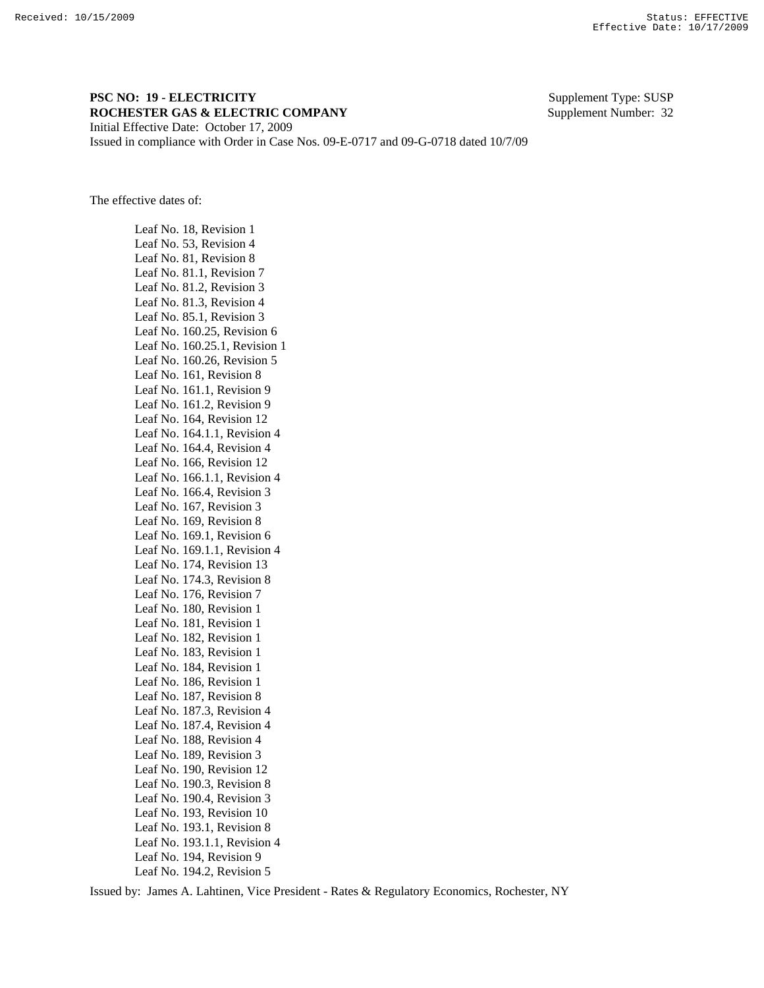## **PSC NO: 19 - ELECTRICITY** Supplement Type: SUSP **ROCHESTER GAS & ELECTRIC COMPANY** Supplement Number: 32 Initial Effective Date: October 17, 2009

Issued in compliance with Order in Case Nos. 09-E-0717 and 09-G-0718 dated 10/7/09

The effective dates of:

 Leaf No. 18, Revision 1 Leaf No. 53, Revision 4 Leaf No. 81, Revision 8 Leaf No. 81.1, Revision 7 Leaf No. 81.2, Revision 3 Leaf No. 81.3, Revision 4 Leaf No. 85.1, Revision 3 Leaf No. 160.25, Revision 6 Leaf No. 160.25.1, Revision 1 Leaf No. 160.26, Revision 5 Leaf No. 161, Revision 8 Leaf No. 161.1, Revision 9 Leaf No. 161.2, Revision 9 Leaf No. 164, Revision 12 Leaf No. 164.1.1, Revision 4 Leaf No. 164.4, Revision 4 Leaf No. 166, Revision 12 Leaf No. 166.1.1, Revision 4 Leaf No. 166.4, Revision 3 Leaf No. 167, Revision 3 Leaf No. 169, Revision 8 Leaf No. 169.1, Revision 6 Leaf No. 169.1.1, Revision 4 Leaf No. 174, Revision 13 Leaf No. 174.3, Revision 8 Leaf No. 176, Revision 7 Leaf No. 180, Revision 1 Leaf No. 181, Revision 1 Leaf No. 182, Revision 1 Leaf No. 183, Revision 1 Leaf No. 184, Revision 1 Leaf No. 186, Revision 1 Leaf No. 187, Revision 8 Leaf No. 187.3, Revision 4 Leaf No. 187.4, Revision 4 Leaf No. 188, Revision 4 Leaf No. 189, Revision 3 Leaf No. 190, Revision 12 Leaf No. 190.3, Revision 8 Leaf No. 190.4, Revision 3 Leaf No. 193, Revision 10 Leaf No. 193.1, Revision 8 Leaf No. 193.1.1, Revision 4 Leaf No. 194, Revision 9 Leaf No. 194.2, Revision 5

Issued by: James A. Lahtinen, Vice President - Rates & Regulatory Economics, Rochester, NY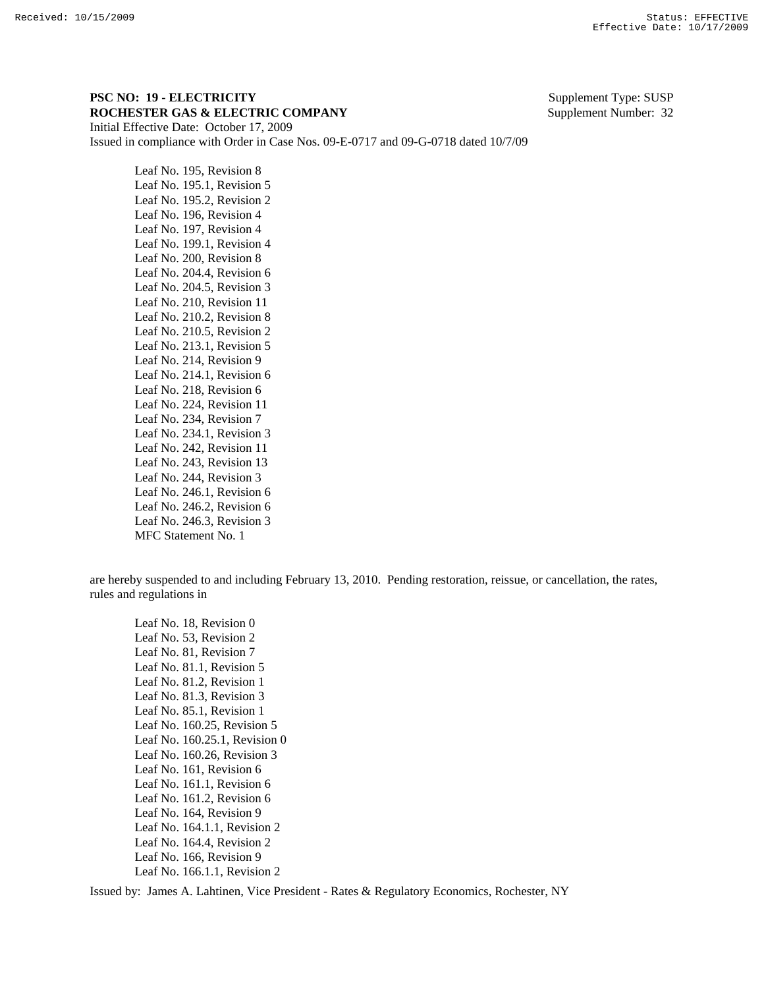## **PSC NO: 19 - ELECTRICITY** Supplement Type: SUSP **ROCHESTER GAS & ELECTRIC COMPANY** Supplement Number: 32 Initial Effective Date: October 17, 2009

Issued in compliance with Order in Case Nos. 09-E-0717 and 09-G-0718 dated 10/7/09

 Leaf No. 195, Revision 8 Leaf No. 195.1, Revision 5 Leaf No. 195.2, Revision 2 Leaf No. 196, Revision 4 Leaf No. 197, Revision 4 Leaf No. 199.1, Revision 4 Leaf No. 200, Revision 8 Leaf No. 204.4, Revision 6 Leaf No. 204.5, Revision 3 Leaf No. 210, Revision 11 Leaf No. 210.2, Revision 8 Leaf No. 210.5, Revision 2 Leaf No. 213.1, Revision 5 Leaf No. 214, Revision 9 Leaf No. 214.1, Revision 6 Leaf No. 218, Revision 6 Leaf No. 224, Revision 11 Leaf No. 234, Revision 7 Leaf No. 234.1, Revision 3 Leaf No. 242, Revision 11 Leaf No. 243, Revision 13 Leaf No. 244, Revision 3 Leaf No. 246.1, Revision 6 Leaf No. 246.2, Revision 6 Leaf No. 246.3, Revision 3 MFC Statement No. 1

are hereby suspended to and including February 13, 2010. Pending restoration, reissue, or cancellation, the rates, rules and regulations in

 Leaf No. 18, Revision 0 Leaf No. 53, Revision 2 Leaf No. 81, Revision 7 Leaf No. 81.1, Revision 5 Leaf No. 81.2, Revision 1 Leaf No. 81.3, Revision 3 Leaf No. 85.1, Revision 1 Leaf No. 160.25, Revision 5 Leaf No. 160.25.1, Revision 0 Leaf No. 160.26, Revision 3 Leaf No. 161, Revision 6 Leaf No. 161.1, Revision 6 Leaf No. 161.2, Revision 6 Leaf No. 164, Revision 9 Leaf No. 164.1.1, Revision 2 Leaf No. 164.4, Revision 2 Leaf No. 166, Revision 9 Leaf No. 166.1.1, Revision 2

Issued by: James A. Lahtinen, Vice President - Rates & Regulatory Economics, Rochester, NY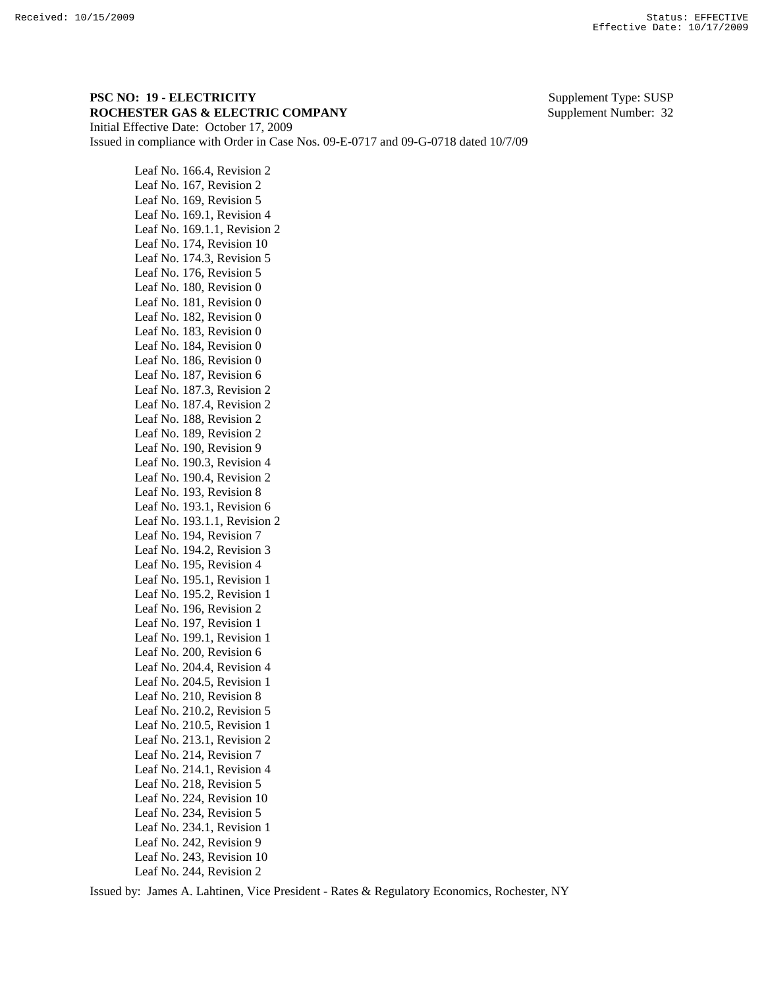## **PSC NO: 19 - ELECTRICITY** Supplement Type: SUSP **ROCHESTER GAS & ELECTRIC COMPANY** Supplement Number: 32 Initial Effective Date: October 17, 2009

Issued in compliance with Order in Case Nos. 09-E-0717 and 09-G-0718 dated 10/7/09

 Leaf No. 166.4, Revision 2 Leaf No. 167, Revision 2 Leaf No. 169, Revision 5 Leaf No. 169.1, Revision 4 Leaf No. 169.1.1, Revision 2 Leaf No. 174, Revision 10 Leaf No. 174.3, Revision 5 Leaf No. 176, Revision 5 Leaf No. 180, Revision 0 Leaf No. 181, Revision 0 Leaf No. 182, Revision 0 Leaf No. 183, Revision 0 Leaf No. 184, Revision 0 Leaf No. 186, Revision 0 Leaf No. 187, Revision 6 Leaf No. 187.3, Revision 2 Leaf No. 187.4, Revision 2 Leaf No. 188, Revision 2 Leaf No. 189, Revision 2 Leaf No. 190, Revision 9 Leaf No. 190.3, Revision 4 Leaf No. 190.4, Revision 2 Leaf No. 193, Revision 8 Leaf No. 193.1, Revision 6 Leaf No. 193.1.1, Revision 2 Leaf No. 194, Revision 7 Leaf No. 194.2, Revision 3 Leaf No. 195, Revision 4 Leaf No. 195.1, Revision 1 Leaf No. 195.2, Revision 1 Leaf No. 196, Revision 2 Leaf No. 197, Revision 1 Leaf No. 199.1, Revision 1 Leaf No. 200, Revision 6 Leaf No. 204.4, Revision 4 Leaf No. 204.5, Revision 1 Leaf No. 210, Revision 8 Leaf No. 210.2, Revision 5 Leaf No. 210.5, Revision 1 Leaf No. 213.1, Revision 2 Leaf No. 214, Revision 7 Leaf No. 214.1, Revision 4 Leaf No. 218, Revision 5 Leaf No. 224, Revision 10 Leaf No. 234, Revision 5 Leaf No. 234.1, Revision 1 Leaf No. 242, Revision 9 Leaf No. 243, Revision 10 Leaf No. 244, Revision 2

Issued by: James A. Lahtinen, Vice President - Rates & Regulatory Economics, Rochester, NY